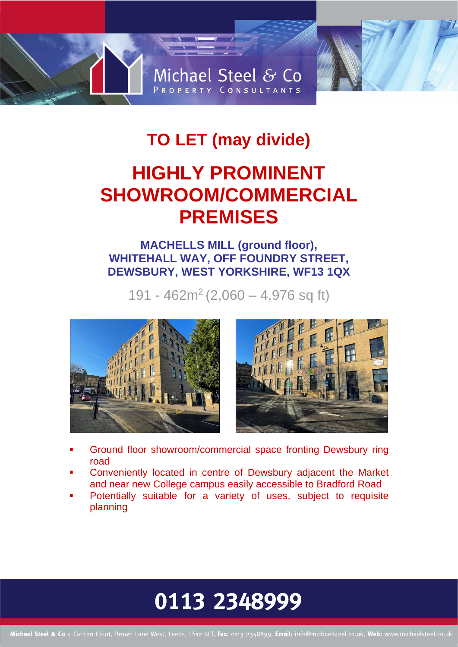# Michael Steel & Co PROPERTY CONSULTANTS

### **TO LET (may divide)**

### **HIGHLY PROMINENT SHOWROOM/COMMERCIAL PREMISES**

### **MACHELLS MILL (ground floor), WHITEHALL WAY, OFF FOUNDRY STREET, DEWSBURY, WEST YORKSHIRE, WF13 1QX**

191 - 462m<sup>2</sup> (2,060 – 4,976 sq ft)



- Ground floor showroom/commercial space fronting Dewsbury ring road
- Conveniently located in centre of Dewsbury adjacent the Market and near new College campus easily accessible to Bradford Road
- Potentially suitable for a variety of uses, subject to requisite planning

## 0113 2348999

Michael Steel & Co 4 Carlton Court, Brown Lane West, Leeds, LS12 6LT, Fax: 0113 2348899, Email: info@michaelsteel.co.uk, Web: www.michaelsteel.co.uk